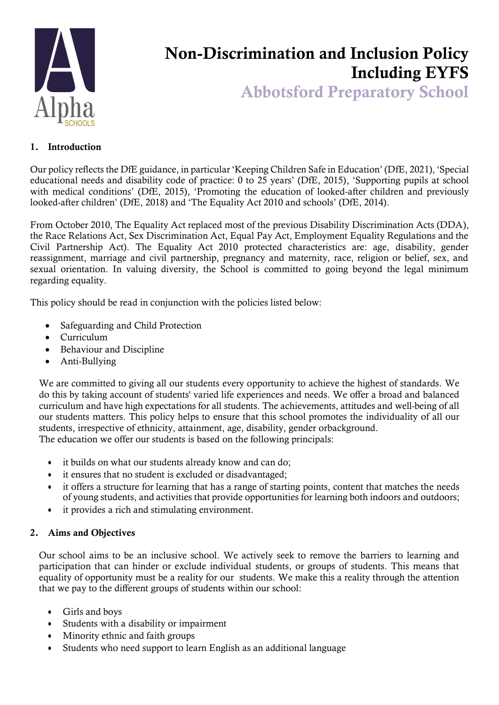

# Non-Discrimination and Inclusion Policy Including EYFS

Abbotsford Preparatory School

### 1. Introduction

Our policy reflects the DfE guidance, in particular 'Keeping Children Safe in Education' (DfE, 2021), 'Special educational needs and disability code of practice: 0 to 25 years' (DfE, 2015), 'Supporting pupils at school with medical conditions' (DfE, 2015), 'Promoting the education of looked-after children and previously looked-after children' (DfE, 2018) and 'The Equality Act 2010 and schools' (DfE, 2014).

From October 2010, The Equality Act replaced most of the previous Disability Discrimination Acts (DDA), the Race Relations Act, Sex Discrimination Act, Equal Pay Act, Employment Equality Regulations and the Civil Partnership Act). The Equality Act 2010 protected characteristics are: age, disability, gender reassignment, marriage and civil partnership, pregnancy and maternity, race, religion or belief, sex, and sexual orientation. In valuing diversity, the School is committed to going beyond the legal minimum regarding equality.

This policy should be read in conjunction with the policies listed below:

- Safeguarding and Child Protection
- Curriculum
- Behaviour and Discipline
- Anti-Bullying

We are committed to giving all our students every opportunity to achieve the highest of standards. We do this by taking account of students' varied life experiences and needs. We offer a broad and balanced curriculum and have high expectations for all students. The achievements, attitudes and well-being of all our students matters. This policy helps to ensure that this school promotes the individuality of all our students, irrespective of ethnicity, attainment, age, disability, gender orbackground. The education we offer our students is based on the following principals:

- it builds on what our students already know and can do;
- it ensures that no student is excluded or disadvantaged;
- it offers a structure for learning that has a range of starting points, content that matches the needs of young students, and activities that provide opportunities for learning both indoors and outdoors;
- it provides a rich and stimulating environment.

#### 2. Aims and Objectives

Our school aims to be an inclusive school. We actively seek to remove the barriers to learning and participation that can hinder or exclude individual students, or groups of students. This means that equality of opportunity must be a reality for our students. We make this a reality through the attention that we pay to the different groups of students within our school:

- Girls and boys
- Students with a disability or impairment
- Minority ethnic and faith groups
- Students who need support to learn English as an additional language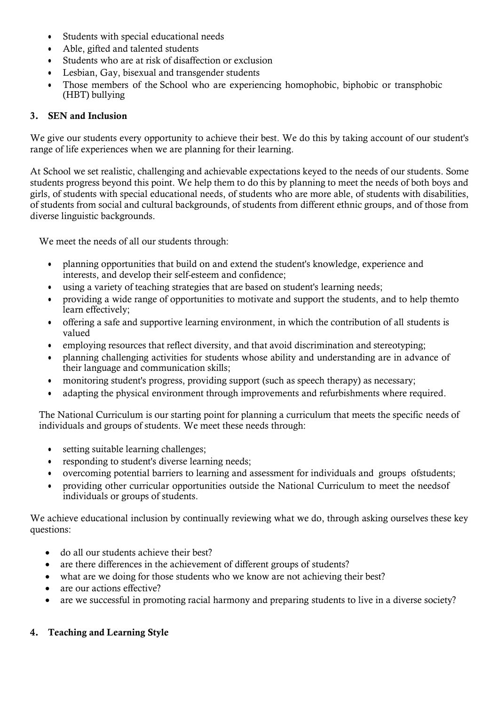- Students with special educational needs
- Able, gifted and talented students
- Students who are at risk of disaffection or exclusion
- Lesbian, Gay, bisexual and transgender students
- Those members of the School who are experiencing homophobic, biphobic or transphobic (HBT) bullying

## 3. SEN and Inclusion

We give our students every opportunity to achieve their best. We do this by taking account of our student's range of life experiences when we are planning for their learning.

At School we set realistic, challenging and achievable expectations keyed to the needs of our students. Some students progress beyond this point. We help them to do this by planning to meet the needs of both boys and girls, of students with special educational needs, of students who are more able, of students with disabilities, of students from social and cultural backgrounds, of students from different ethnic groups, and of those from diverse linguistic backgrounds.

We meet the needs of all our students through:

- planning opportunities that build on and extend the student's knowledge, experience and interests, and develop their self-esteem and confidence;
- using a variety of teaching strategies that are based on student's learning needs;
- providing a wide range of opportunities to motivate and support the students, and to help themto learn effectively;
- offering a safe and supportive learning environment, in which the contribution of all students is valued
- employing resources that reflect diversity, and that avoid discrimination and stereotyping;
- planning challenging activities for students whose ability and understanding are in advance of their language and communication skills;
- monitoring student's progress, providing support (such as speech therapy) as necessary;
- adapting the physical environment through improvements and refurbishments where required.

The National Curriculum is our starting point for planning a curriculum that meets the specific needs of individuals and groups of students. We meet these needs through:

- setting suitable learning challenges;
- responding to student's diverse learning needs;
- overcoming potential barriers to learning and assessment for individuals and groups ofstudents;
- providing other curricular opportunities outside the National Curriculum to meet the needsof individuals or groups of students.

We achieve educational inclusion by continually reviewing what we do, through asking ourselves these key questions:

- do all our students achieve their best?
- are there differences in the achievement of different groups of students?
- what are we doing for those students who we know are not achieving their best?
- are our actions effective?
- are we successful in promoting racial harmony and preparing students to live in a diverse society?

# 4. Teaching and Learning Style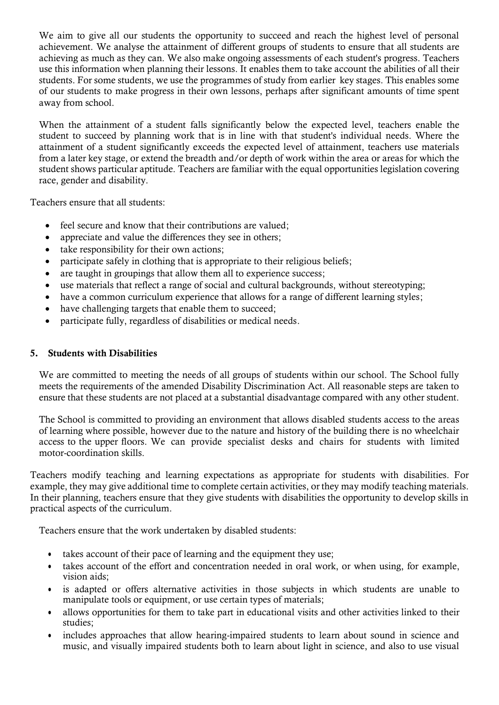We aim to give all our students the opportunity to succeed and reach the highest level of personal achievement. We analyse the attainment of different groups of students to ensure that all students are achieving as much as they can. We also make ongoing assessments of each student's progress. Teachers use this information when planning their lessons. It enables them to take account the abilities of all their students. For some students, we use the programmes of study from earlier key stages. This enables some of our students to make progress in their own lessons, perhaps after significant amounts of time spent away from school.

When the attainment of a student falls significantly below the expected level, teachers enable the student to succeed by planning work that is in line with that student's individual needs. Where the attainment of a student significantly exceeds the expected level of attainment, teachers use materials from a later key stage, or extend the breadth and/or depth of work within the area or areas for which the student shows particular aptitude. Teachers are familiar with the equal opportunities legislation covering race, gender and disability.

Teachers ensure that all students:

- feel secure and know that their contributions are valued;
- appreciate and value the differences they see in others;
- take responsibility for their own actions;
- participate safely in clothing that is appropriate to their religious beliefs;
- are taught in groupings that allow them all to experience success:
- use materials that reflect a range of social and cultural backgrounds, without stereotyping;
- have a common curriculum experience that allows for a range of different learning styles;
- have challenging targets that enable them to succeed;
- participate fully, regardless of disabilities or medical needs.

#### 5. Students with Disabilities

We are committed to meeting the needs of all groups of students within our school. The School fully meets the requirements of the amended Disability Discrimination Act. All reasonable steps are taken to ensure that these students are not placed at a substantial disadvantage compared with any other student.

The School is committed to providing an environment that allows disabled students access to the areas of learning where possible, however due to the nature and history of the building there is no wheelchair access to the upper floors. We can provide specialist desks and chairs for students with limited motor-coordination skills.

Teachers modify teaching and learning expectations as appropriate for students with disabilities. For example, they may give additional time to complete certain activities, or they may modify teaching materials. In their planning, teachers ensure that they give students with disabilities the opportunity to develop skills in practical aspects of the curriculum.

Teachers ensure that the work undertaken by disabled students:

- takes account of their pace of learning and the equipment they use;
- takes account of the effort and concentration needed in oral work, or when using, for example, vision aids;
- is adapted or offers alternative activities in those subjects in which students are unable to manipulate tools or equipment, or use certain types of materials;
- allows opportunities for them to take part in educational visits and other activities linked to their studies;
- includes approaches that allow hearing-impaired students to learn about sound in science and music, and visually impaired students both to learn about light in science, and also to use visual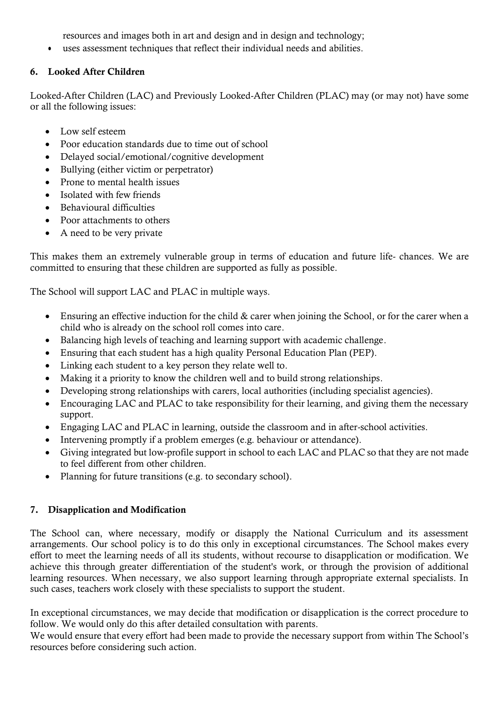resources and images both in art and design and in design and technology;

• uses assessment techniques that reflect their individual needs and abilities.

# 6. Looked After Children

Looked-After Children (LAC) and Previously Looked-After Children (PLAC) may (or may not) have some or all the following issues:

- Low self esteem
- Poor education standards due to time out of school
- Delayed social/emotional/cognitive development
- Bullying (either victim or perpetrator)
- Prone to mental health issues
- Isolated with few friends
- Behavioural difficulties
- Poor attachments to others
- A need to be very private

This makes them an extremely vulnerable group in terms of education and future life- chances. We are committed to ensuring that these children are supported as fully as possible.

The School will support LAC and PLAC in multiple ways.

- Ensuring an effective induction for the child & carer when joining the School, or for the carer when a child who is already on the school roll comes into care.
- Balancing high levels of teaching and learning support with academic challenge.
- Ensuring that each student has a high quality Personal Education Plan (PEP).
- Linking each student to a key person they relate well to.
- Making it a priority to know the children well and to build strong relationships.
- Developing strong relationships with carers, local authorities (including specialist agencies).
- Encouraging LAC and PLAC to take responsibility for their learning, and giving them the necessary support.
- Engaging LAC and PLAC in learning, outside the classroom and in after-school activities.
- Intervening promptly if a problem emerges (e.g. behaviour or attendance).
- Giving integrated but low-profile support in school to each LAC and PLAC so that they are not made to feel different from other children.
- Planning for future transitions (e.g. to secondary school).

# 7. Disapplication and Modification

The School can, where necessary, modify or disapply the National Curriculum and its assessment arrangements. Our school policy is to do this only in exceptional circumstances. The School makes every effort to meet the learning needs of all its students, without recourse to disapplication or modification. We achieve this through greater differentiation of the student's work, or through the provision of additional learning resources. When necessary, we also support learning through appropriate external specialists. In such cases, teachers work closely with these specialists to support the student.

In exceptional circumstances, we may decide that modification or disapplication is the correct procedure to follow. We would only do this after detailed consultation with parents.

We would ensure that every effort had been made to provide the necessary support from within The School's resources before considering such action.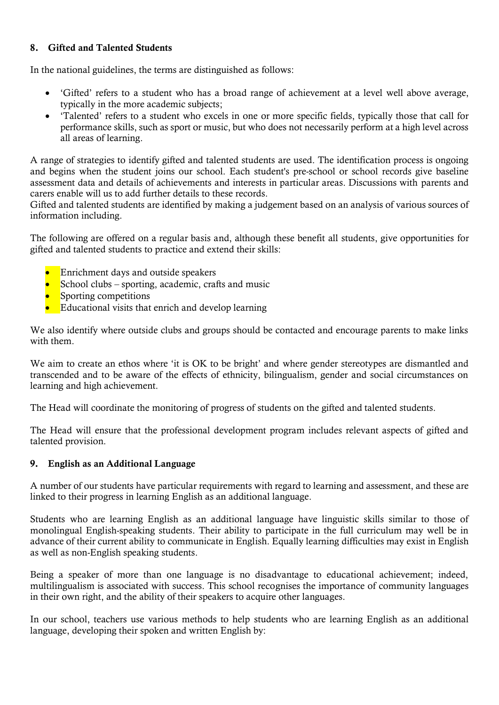### 8. Gifted and Talented Students

In the national guidelines, the terms are distinguished as follows:

- 'Gifted' refers to a student who has a broad range of achievement at a level well above average, typically in the more academic subjects;
- 'Talented' refers to a student who excels in one or more specific fields, typically those that call for performance skills, such as sport or music, but who does not necessarily perform at a high level across all areas of learning.

A range of strategies to identify gifted and talented students are used. The identification process is ongoing and begins when the student joins our school. Each student's pre-school or school records give baseline assessment data and details of achievements and interests in particular areas. Discussions with parents and carers enable will us to add further details to these records.

Gifted and talented students are identified by making a judgement based on an analysis of various sources of information including.

The following are offered on a regular basis and, although these benefit all students, give opportunities for gifted and talented students to practice and extend their skills:

- Enrichment days and outside speakers
- $\blacksquare$  School clubs sporting, academic, crafts and music
- **Sporting competitions**
- Educational visits that enrich and develop learning

We also identify where outside clubs and groups should be contacted and encourage parents to make links with them.

We aim to create an ethos where 'it is OK to be bright' and where gender stereotypes are dismantled and transcended and to be aware of the effects of ethnicity, bilingualism, gender and social circumstances on learning and high achievement.

The Head will coordinate the monitoring of progress of students on the gifted and talented students.

The Head will ensure that the professional development program includes relevant aspects of gifted and talented provision.

#### 9. English as an Additional Language

A number of our students have particular requirements with regard to learning and assessment, and these are linked to their progress in learning English as an additional language.

Students who are learning English as an additional language have linguistic skills similar to those of monolingual English-speaking students. Their ability to participate in the full curriculum may well be in advance of their current ability to communicate in English. Equally learning difficulties may exist in English as well as non-English speaking students.

Being a speaker of more than one language is no disadvantage to educational achievement; indeed, multilingualism is associated with success. This school recognises the importance of community languages in their own right, and the ability of their speakers to acquire other languages.

In our school, teachers use various methods to help students who are learning English as an additional language, developing their spoken and written English by: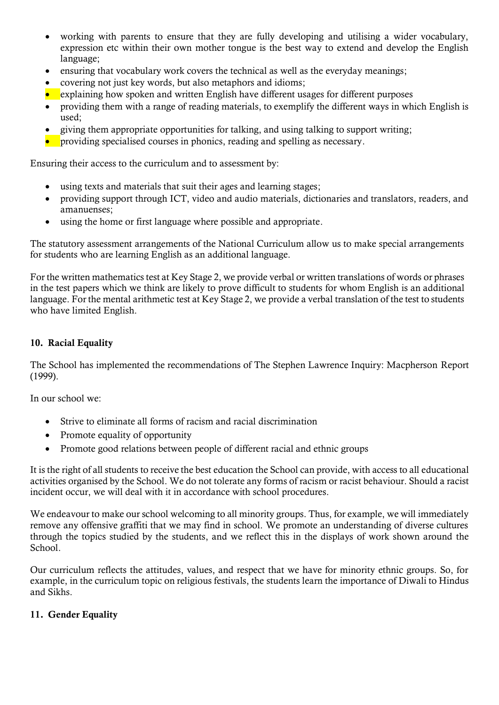- working with parents to ensure that they are fully developing and utilising a wider vocabulary, expression etc within their own mother tongue is the best way to extend and develop the English language;
- ensuring that vocabulary work covers the technical as well as the everyday meanings;
- covering not just key words, but also metaphors and idioms;
- explaining how spoken and written English have different usages for different purposes
- providing them with a range of reading materials, to exemplify the different ways in which English is used;
- giving them appropriate opportunities for talking, and using talking to support writing;
- providing specialised courses in phonics, reading and spelling as necessary.

Ensuring their access to the curriculum and to assessment by:

- using texts and materials that suit their ages and learning stages;
- providing support through ICT, video and audio materials, dictionaries and translators, readers, and amanuenses;
- using the home or first language where possible and appropriate.

The statutory assessment arrangements of the National Curriculum allow us to make special arrangements for students who are learning English as an additional language.

For the written mathematics test at Key Stage 2, we provide verbal or written translations of words or phrases in the test papers which we think are likely to prove difficult to students for whom English is an additional language. For the mental arithmetic test at Key Stage 2, we provide a verbal translation of the test to students who have limited English.

## 10. Racial Equality

The School has implemented the recommendations of The Stephen Lawrence Inquiry: Macpherson Report (1999).

In our school we:

- Strive to eliminate all forms of racism and racial discrimination
- Promote equality of opportunity
- Promote good relations between people of different racial and ethnic groups

It is the right of all students to receive the best education the School can provide, with access to all educational activities organised by the School. We do not tolerate any forms of racism or racist behaviour. Should a racist incident occur, we will deal with it in accordance with school procedures.

We endeavour to make our school welcoming to all minority groups. Thus, for example, we will immediately remove any offensive graffiti that we may find in school. We promote an understanding of diverse cultures through the topics studied by the students, and we reflect this in the displays of work shown around the School.

Our curriculum reflects the attitudes, values, and respect that we have for minority ethnic groups. So, for example, in the curriculum topic on religious festivals, the students learn the importance of Diwali to Hindus and Sikhs.

### 11. Gender Equality